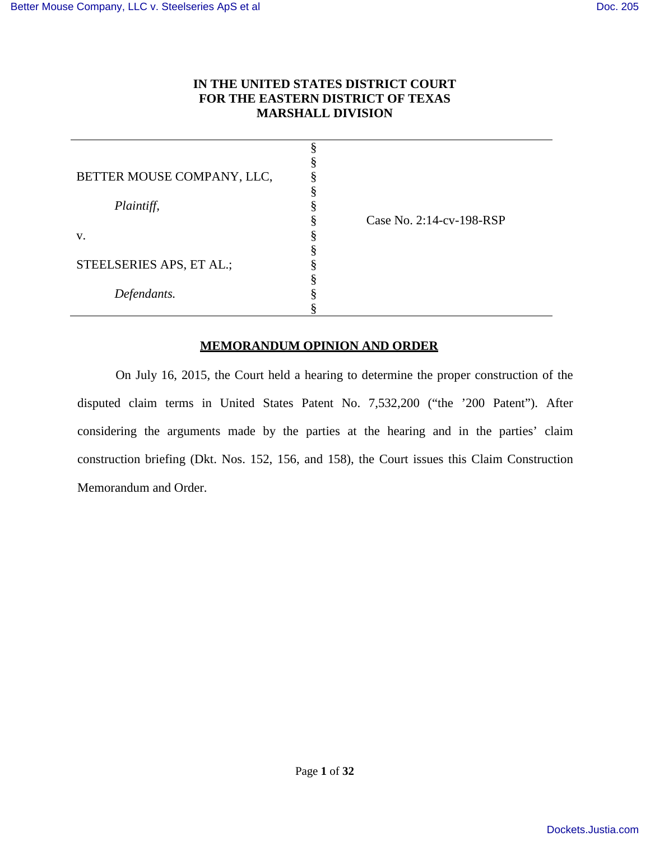# **IN THE UNITED STATES DISTRICT COURT FOR THE EASTERN DISTRICT OF TEXAS MARSHALL DIVISION**

| BETTER MOUSE COMPANY, LLC, |                          |
|----------------------------|--------------------------|
|                            |                          |
| Plaintiff,                 |                          |
|                            | Case No. 2:14-cv-198-RSP |
| V.                         |                          |
|                            |                          |
| STEELSERIES APS, ET AL.;   |                          |
|                            |                          |
| Defendants.                |                          |
|                            |                          |

# **MEMORANDUM OPINION AND ORDER**

On July 16, 2015, the Court held a hearing to determine the proper construction of the disputed claim terms in United States Patent No. 7,532,200 ("the '200 Patent"). After considering the arguments made by the parties at the hearing and in the parties' claim construction briefing (Dkt. Nos. 152, 156, and 158), the Court issues this Claim Construction Memorandum and Order.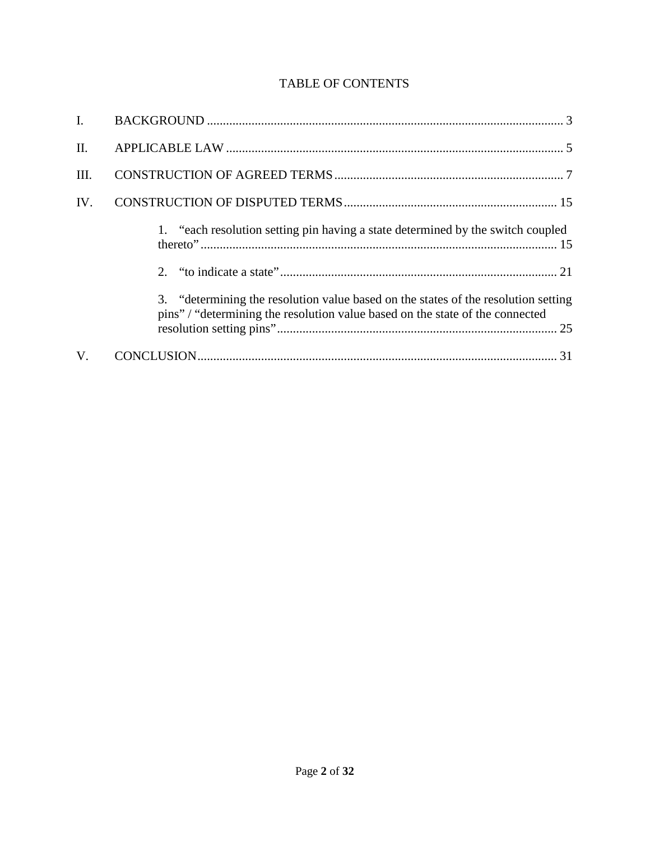# TABLE OF CONTENTS

| $\mathbf{I}$ . |                                                                                                                                                                     |
|----------------|---------------------------------------------------------------------------------------------------------------------------------------------------------------------|
| II.            |                                                                                                                                                                     |
| III.           |                                                                                                                                                                     |
| IV.            |                                                                                                                                                                     |
|                | 1. "each resolution setting pin having a state determined by the switch coupled                                                                                     |
|                |                                                                                                                                                                     |
|                | 3. "determining the resolution value based on the states of the resolution setting<br>pins" / "determining the resolution value based on the state of the connected |
| $V_{\cdot}$    |                                                                                                                                                                     |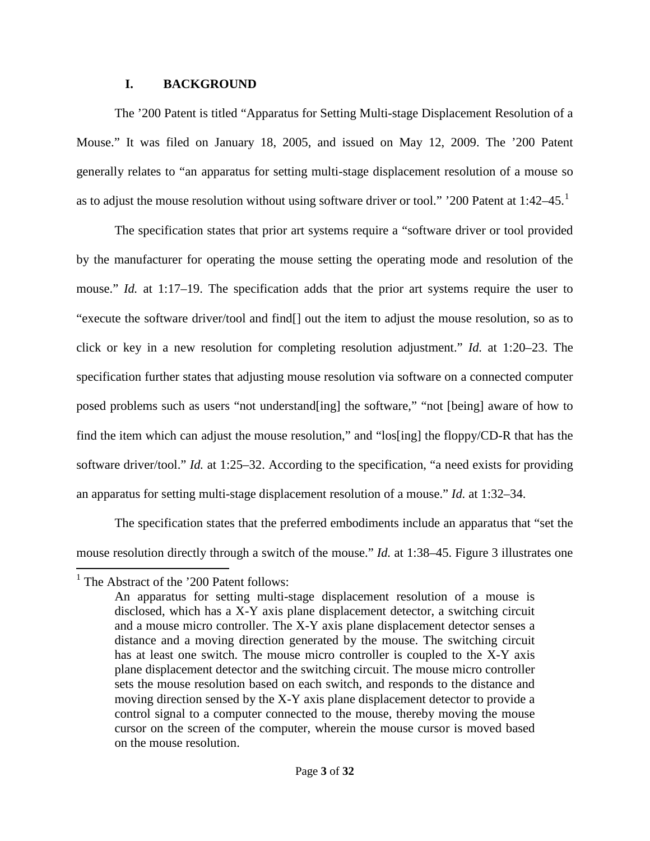# **I. BACKGROUND**

<span id="page-2-0"></span>The '200 Patent is titled "Apparatus for Setting Multi-stage Displacement Resolution of a Mouse." It was filed on January 18, 2005, and issued on May 12, 2009. The '200 Patent generally relates to "an apparatus for setting multi-stage displacement resolution of a mouse so as to adjust the mouse resolution without using software driver or tool." '200 Patent at [1](#page-2-1):42–45.<sup>1</sup>

The specification states that prior art systems require a "software driver or tool provided by the manufacturer for operating the mouse setting the operating mode and resolution of the mouse." *Id.* at 1:17–19. The specification adds that the prior art systems require the user to "execute the software driver/tool and find[] out the item to adjust the mouse resolution, so as to click or key in a new resolution for completing resolution adjustment." *Id.* at 1:20–23. The specification further states that adjusting mouse resolution via software on a connected computer posed problems such as users "not understand[ing] the software," "not [being] aware of how to find the item which can adjust the mouse resolution," and "los[ing] the floppy/CD-R that has the software driver/tool." *Id.* at 1:25–32. According to the specification, "a need exists for providing an apparatus for setting multi-stage displacement resolution of a mouse." *Id.* at 1:32–34.

The specification states that the preferred embodiments include an apparatus that "set the mouse resolution directly through a switch of the mouse." *Id.* at 1:38–45. Figure 3 illustrates one  $\overline{a}$ 

<span id="page-2-1"></span><sup>&</sup>lt;sup>1</sup> The Abstract of the '200 Patent follows:

An apparatus for setting multi-stage displacement resolution of a mouse is disclosed, which has a X-Y axis plane displacement detector, a switching circuit and a mouse micro controller. The X-Y axis plane displacement detector senses a distance and a moving direction generated by the mouse. The switching circuit has at least one switch. The mouse micro controller is coupled to the X-Y axis plane displacement detector and the switching circuit. The mouse micro controller sets the mouse resolution based on each switch, and responds to the distance and moving direction sensed by the X-Y axis plane displacement detector to provide a control signal to a computer connected to the mouse, thereby moving the mouse cursor on the screen of the computer, wherein the mouse cursor is moved based on the mouse resolution.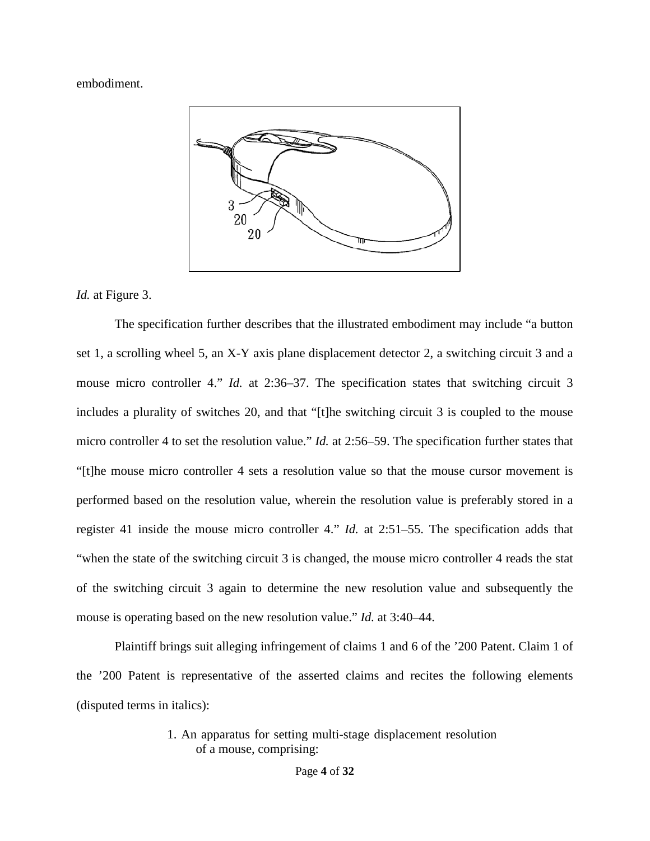embodiment.



*Id.* at Figure 3.

The specification further describes that the illustrated embodiment may include "a button set 1, a scrolling wheel 5, an X-Y axis plane displacement detector 2, a switching circuit 3 and a mouse micro controller 4." *Id.* at 2:36–37. The specification states that switching circuit 3 includes a plurality of switches 20, and that "[t]he switching circuit 3 is coupled to the mouse micro controller 4 to set the resolution value." *Id.* at 2:56–59. The specification further states that "[t]he mouse micro controller 4 sets a resolution value so that the mouse cursor movement is performed based on the resolution value, wherein the resolution value is preferably stored in a register 41 inside the mouse micro controller 4." *Id.* at 2:51–55. The specification adds that "when the state of the switching circuit 3 is changed, the mouse micro controller 4 reads the stat of the switching circuit 3 again to determine the new resolution value and subsequently the mouse is operating based on the new resolution value." *Id.* at 3:40–44.

Plaintiff brings suit alleging infringement of claims 1 and 6 of the '200 Patent. Claim 1 of the '200 Patent is representative of the asserted claims and recites the following elements (disputed terms in italics):

# 1. An apparatus for setting multi-stage displacement resolution of a mouse, comprising: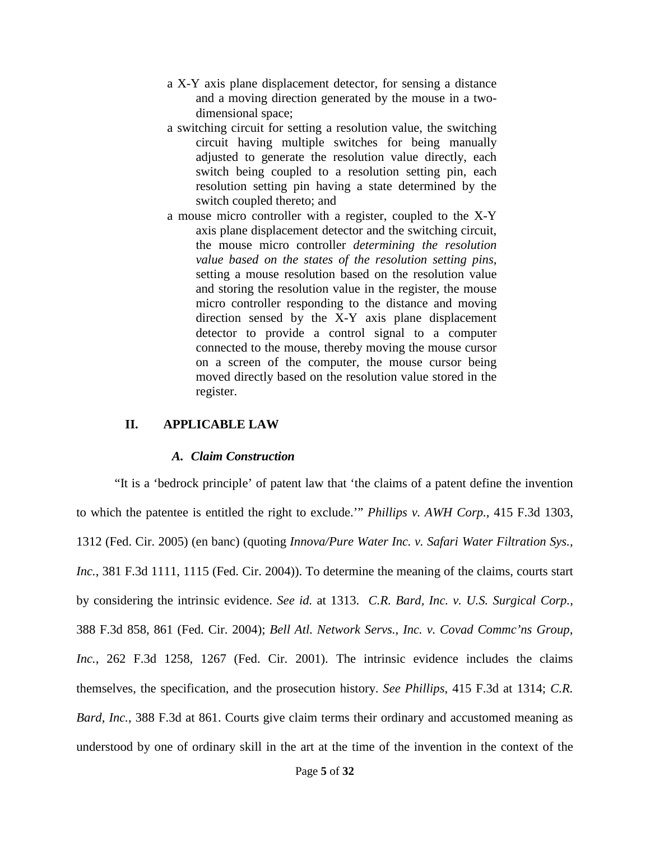- a X-Y axis plane displacement detector, for sensing a distance and a moving direction generated by the mouse in a twodimensional space;
- a switching circuit for setting a resolution value, the switching circuit having multiple switches for being manually adjusted to generate the resolution value directly, each switch being coupled to a resolution setting pin, each resolution setting pin having a state determined by the switch coupled thereto; and
- a mouse micro controller with a register, coupled to the X-Y axis plane displacement detector and the switching circuit, the mouse micro controller *determining the resolution value based on the states of the resolution setting pins*, setting a mouse resolution based on the resolution value and storing the resolution value in the register, the mouse micro controller responding to the distance and moving direction sensed by the X-Y axis plane displacement detector to provide a control signal to a computer connected to the mouse, thereby moving the mouse cursor on a screen of the computer, the mouse cursor being moved directly based on the resolution value stored in the register.

#### <span id="page-4-0"></span>**II. APPLICABLE LAW**

#### *A. Claim Construction*

"It is a 'bedrock principle' of patent law that 'the claims of a patent define the invention to which the patentee is entitled the right to exclude.'" *Phillips v. AWH Corp.*, 415 F.3d 1303, 1312 (Fed. Cir. 2005) (en banc) (quoting *Innova/Pure Water Inc. v. Safari Water Filtration Sys., Inc.*, 381 F.3d 1111, 1115 (Fed. Cir. 2004)). To determine the meaning of the claims, courts start by considering the intrinsic evidence. *See id.* at 1313. *C.R. Bard, Inc. v. U.S. Surgical Corp.*, 388 F.3d 858, 861 (Fed. Cir. 2004); *Bell Atl. Network Servs., Inc. v. Covad Commc'ns Group, Inc.*, 262 F.3d 1258, 1267 (Fed. Cir. 2001). The intrinsic evidence includes the claims themselves, the specification, and the prosecution history. *See Phillips*, 415 F.3d at 1314; *C.R. Bard, Inc.*, 388 F.3d at 861. Courts give claim terms their ordinary and accustomed meaning as understood by one of ordinary skill in the art at the time of the invention in the context of the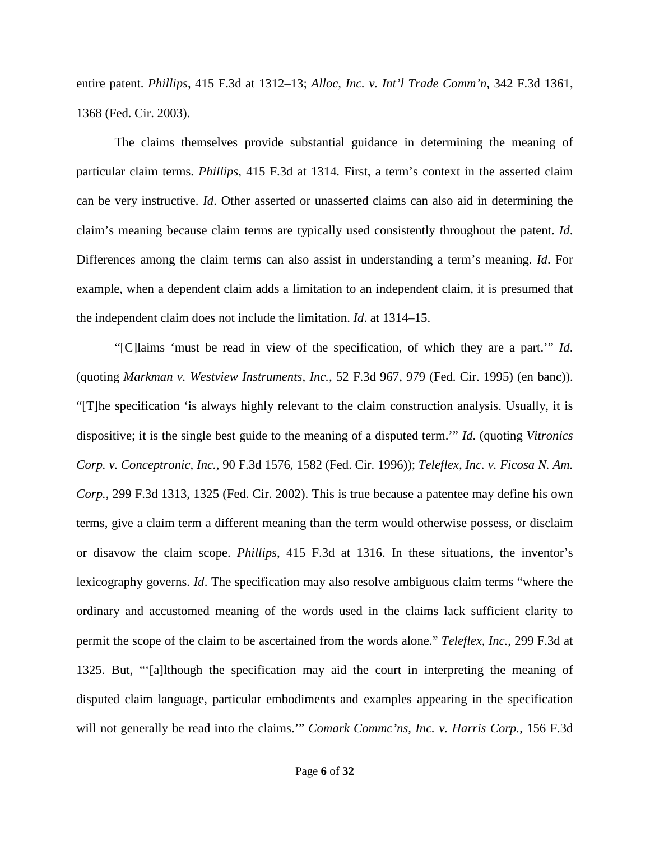entire patent. *Phillips*, 415 F.3d at 1312–13; *Alloc, Inc. v. Int'l Trade Comm'n*, 342 F.3d 1361, 1368 (Fed. Cir. 2003).

The claims themselves provide substantial guidance in determining the meaning of particular claim terms. *Phillips*, 415 F.3d at 1314. First, a term's context in the asserted claim can be very instructive. *Id*. Other asserted or unasserted claims can also aid in determining the claim's meaning because claim terms are typically used consistently throughout the patent. *Id*. Differences among the claim terms can also assist in understanding a term's meaning. *Id*. For example, when a dependent claim adds a limitation to an independent claim, it is presumed that the independent claim does not include the limitation. *Id*. at 1314–15.

"[C]laims 'must be read in view of the specification, of which they are a part.'" *Id*. (quoting *Markman v. Westview Instruments, Inc.*, 52 F.3d 967, 979 (Fed. Cir. 1995) (en banc)). "[T]he specification 'is always highly relevant to the claim construction analysis. Usually, it is dispositive; it is the single best guide to the meaning of a disputed term.'" *Id*. (quoting *Vitronics Corp. v. Conceptronic, Inc.*, 90 F.3d 1576, 1582 (Fed. Cir. 1996)); *Teleflex, Inc. v. Ficosa N. Am. Corp.*, 299 F.3d 1313, 1325 (Fed. Cir. 2002). This is true because a patentee may define his own terms, give a claim term a different meaning than the term would otherwise possess, or disclaim or disavow the claim scope. *Phillips*, 415 F.3d at 1316. In these situations, the inventor's lexicography governs. *Id*. The specification may also resolve ambiguous claim terms "where the ordinary and accustomed meaning of the words used in the claims lack sufficient clarity to permit the scope of the claim to be ascertained from the words alone." *Teleflex, Inc.*, 299 F.3d at 1325. But, "'[a]lthough the specification may aid the court in interpreting the meaning of disputed claim language, particular embodiments and examples appearing in the specification will not generally be read into the claims.'" *Comark Commc'ns, Inc. v. Harris Corp.*, 156 F.3d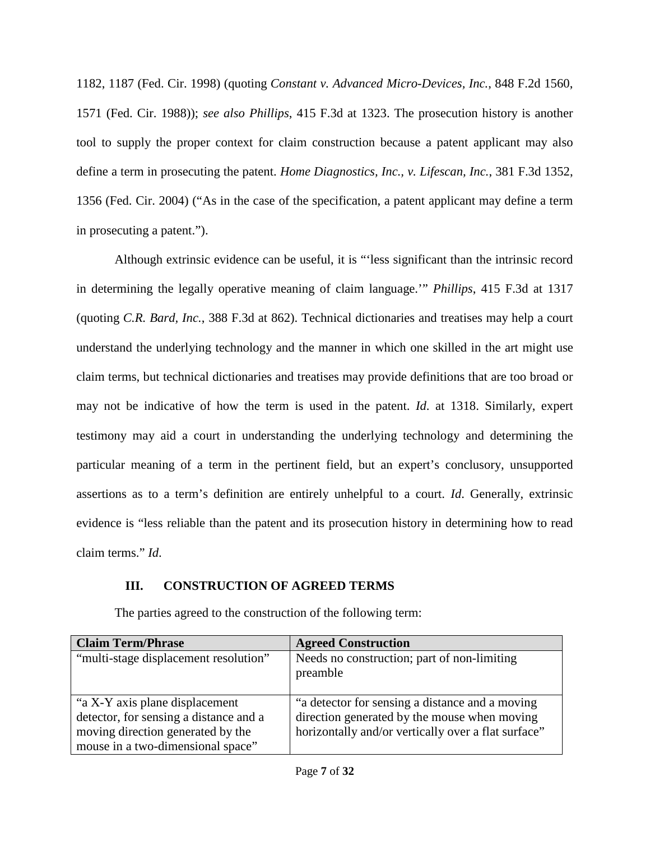1182, 1187 (Fed. Cir. 1998) (quoting *Constant v. Advanced Micro-Devices, Inc.*, 848 F.2d 1560, 1571 (Fed. Cir. 1988)); *see also Phillips*, 415 F.3d at 1323. The prosecution history is another tool to supply the proper context for claim construction because a patent applicant may also define a term in prosecuting the patent. *Home Diagnostics, Inc., v. Lifescan, Inc.*, 381 F.3d 1352, 1356 (Fed. Cir. 2004) ("As in the case of the specification, a patent applicant may define a term in prosecuting a patent.").

Although extrinsic evidence can be useful, it is "'less significant than the intrinsic record in determining the legally operative meaning of claim language.'" *Phillips*, 415 F.3d at 1317 (quoting *C.R. Bard, Inc.*, 388 F.3d at 862). Technical dictionaries and treatises may help a court understand the underlying technology and the manner in which one skilled in the art might use claim terms, but technical dictionaries and treatises may provide definitions that are too broad or may not be indicative of how the term is used in the patent. *Id*. at 1318. Similarly, expert testimony may aid a court in understanding the underlying technology and determining the particular meaning of a term in the pertinent field, but an expert's conclusory, unsupported assertions as to a term's definition are entirely unhelpful to a court. *Id*. Generally, extrinsic evidence is "less reliable than the patent and its prosecution history in determining how to read claim terms." *Id*.

# <span id="page-6-0"></span>**III. CONSTRUCTION OF AGREED TERMS**

| <b>Claim Term/Phrase</b>                                                                                                                           | <b>Agreed Construction</b>                                                                                                                             |
|----------------------------------------------------------------------------------------------------------------------------------------------------|--------------------------------------------------------------------------------------------------------------------------------------------------------|
| "multi-stage displacement resolution"                                                                                                              | Needs no construction; part of non-limiting<br>preamble                                                                                                |
| "a X-Y axis plane displacement<br>detector, for sensing a distance and a<br>moving direction generated by the<br>mouse in a two-dimensional space" | "a detector for sensing a distance and a moving<br>direction generated by the mouse when moving<br>horizontally and/or vertically over a flat surface" |

The parties agreed to the construction of the following term: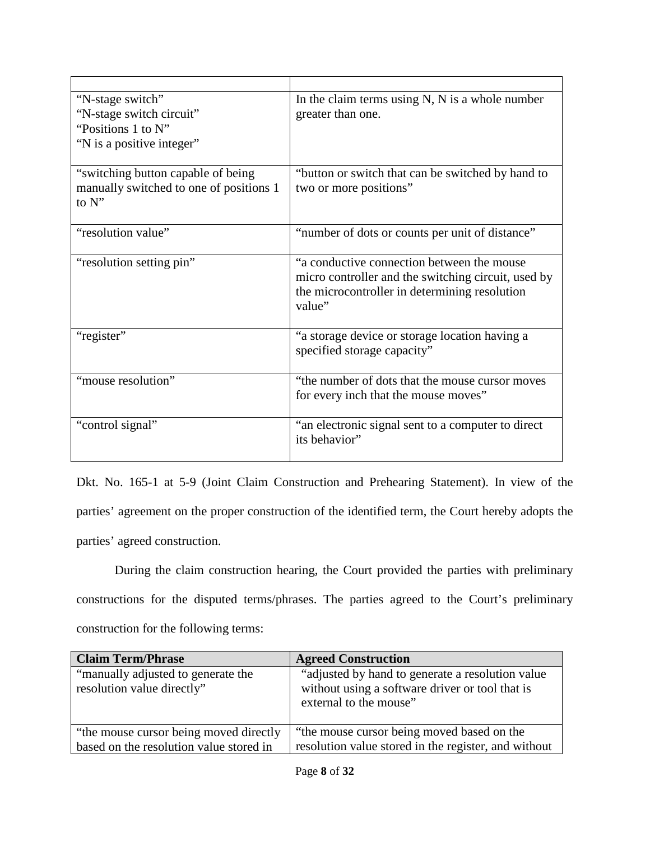| "N-stage switch"                        | In the claim terms using $N$ , $N$ is a whole number |
|-----------------------------------------|------------------------------------------------------|
| "N-stage switch circuit"                | greater than one.                                    |
| "Positions 1 to N"                      |                                                      |
| "N is a positive integer"               |                                                      |
| "switching button capable of being"     | "button or switch that can be switched by hand to    |
| manually switched to one of positions 1 | two or more positions"                               |
| to N"                                   |                                                      |
|                                         |                                                      |
| "resolution value"                      | "number of dots or counts per unit of distance"      |
| "resolution setting pin"                | "a conductive connection between the mouse           |
|                                         | micro controller and the switching circuit, used by  |
|                                         | the microcontroller in determining resolution        |
|                                         | value"                                               |
|                                         |                                                      |
| "register"                              | "a storage device or storage location having a       |
|                                         | specified storage capacity"                          |
| "mouse resolution"                      |                                                      |
|                                         | "the number of dots that the mouse cursor moves      |
|                                         | for every inch that the mouse moves"                 |
| "control signal"                        | "an electronic signal sent to a computer to direct   |
|                                         | its behavior"                                        |
|                                         |                                                      |

Dkt. No. 165-1 at 5-9 (Joint Claim Construction and Prehearing Statement). In view of the parties' agreement on the proper construction of the identified term, the Court hereby adopts the parties' agreed construction.

During the claim construction hearing, the Court provided the parties with preliminary constructions for the disputed terms/phrases. The parties agreed to the Court's preliminary construction for the following terms:

| <b>Claim Term/Phrase</b>                                                           | <b>Agreed Construction</b>                                                                                                     |
|------------------------------------------------------------------------------------|--------------------------------------------------------------------------------------------------------------------------------|
| "manually adjusted to generate the<br>resolution value directly"                   | "adjusted by hand to generate a resolution value"<br>without using a software driver or tool that is<br>external to the mouse" |
| "the mouse cursor being moved directly"<br>based on the resolution value stored in | "the mouse cursor being moved based on the<br>resolution value stored in the register, and without                             |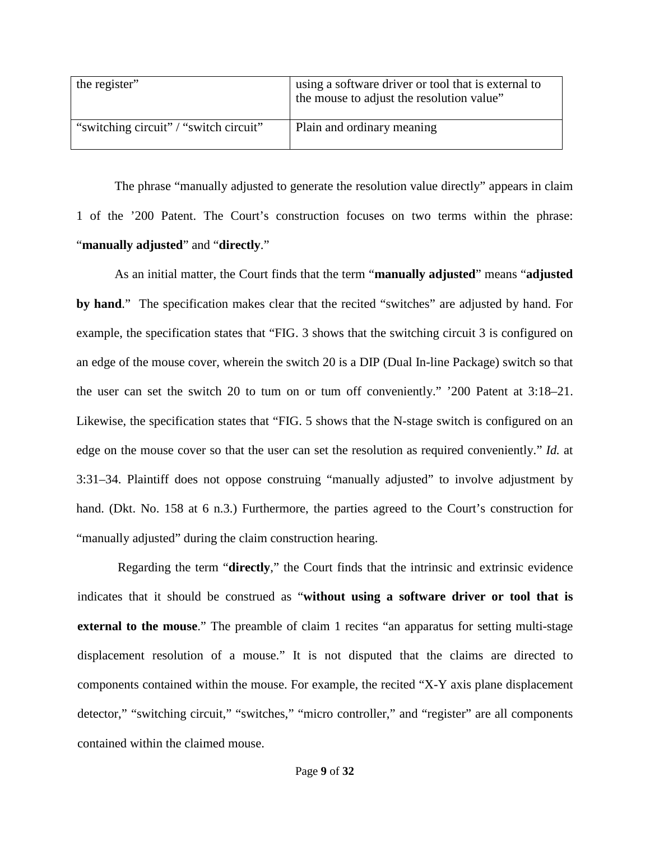| the register"                          | using a software driver or tool that is external to<br>the mouse to adjust the resolution value" |
|----------------------------------------|--------------------------------------------------------------------------------------------------|
| "switching circuit" / "switch circuit" | Plain and ordinary meaning                                                                       |

The phrase "manually adjusted to generate the resolution value directly" appears in claim 1 of the '200 Patent. The Court's construction focuses on two terms within the phrase: "**manually adjusted**" and "**directly**."

As an initial matter, the Court finds that the term "**manually adjusted**" means "**adjusted by hand**." The specification makes clear that the recited "switches" are adjusted by hand. For example, the specification states that "FIG. 3 shows that the switching circuit 3 is configured on an edge of the mouse cover, wherein the switch 20 is a DIP (Dual In-line Package) switch so that the user can set the switch 20 to tum on or tum off conveniently." '200 Patent at 3:18–21. Likewise, the specification states that "FIG. 5 shows that the N-stage switch is configured on an edge on the mouse cover so that the user can set the resolution as required conveniently." *Id.* at 3:31–34. Plaintiff does not oppose construing "manually adjusted" to involve adjustment by hand. (Dkt. No. 158 at 6 n.3.) Furthermore, the parties agreed to the Court's construction for "manually adjusted" during the claim construction hearing.

Regarding the term "**directly**," the Court finds that the intrinsic and extrinsic evidence indicates that it should be construed as "**without using a software driver or tool that is external to the mouse.**" The preamble of claim 1 recites "an apparatus for setting multi-stage displacement resolution of a mouse." It is not disputed that the claims are directed to components contained within the mouse. For example, the recited "X-Y axis plane displacement detector," "switching circuit," "switches," "micro controller," and "register" are all components contained within the claimed mouse.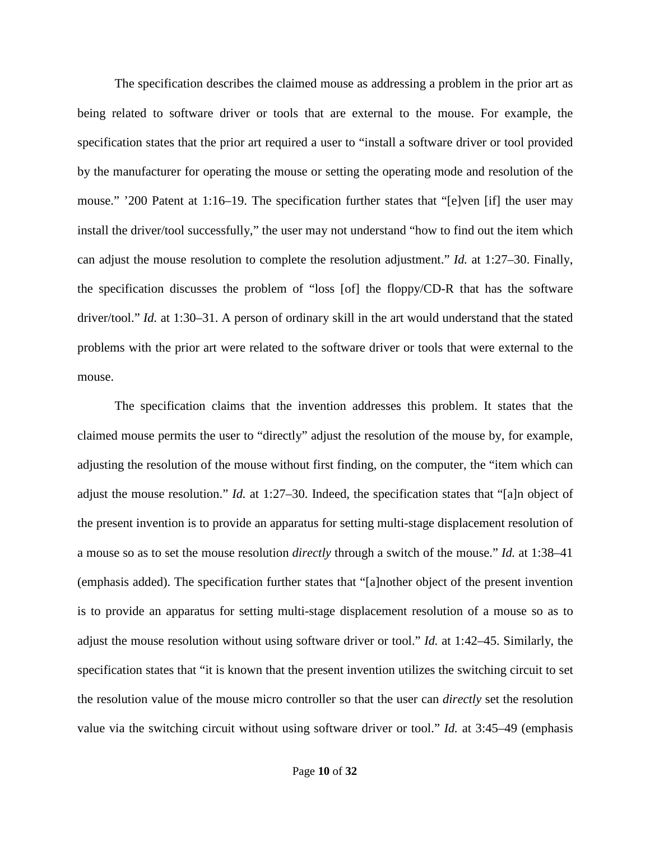The specification describes the claimed mouse as addressing a problem in the prior art as being related to software driver or tools that are external to the mouse. For example, the specification states that the prior art required a user to "install a software driver or tool provided by the manufacturer for operating the mouse or setting the operating mode and resolution of the mouse." '200 Patent at 1:16–19. The specification further states that "[e]ven [if] the user may install the driver/tool successfully," the user may not understand "how to find out the item which can adjust the mouse resolution to complete the resolution adjustment." *Id.* at 1:27–30. Finally, the specification discusses the problem of "loss [of] the floppy/CD-R that has the software driver/tool." *Id.* at 1:30–31. A person of ordinary skill in the art would understand that the stated problems with the prior art were related to the software driver or tools that were external to the mouse.

The specification claims that the invention addresses this problem. It states that the claimed mouse permits the user to "directly" adjust the resolution of the mouse by, for example, adjusting the resolution of the mouse without first finding, on the computer, the "item which can adjust the mouse resolution." *Id.* at 1:27–30. Indeed, the specification states that "[a]n object of the present invention is to provide an apparatus for setting multi-stage displacement resolution of a mouse so as to set the mouse resolution *directly* through a switch of the mouse." *Id.* at 1:38–41 (emphasis added). The specification further states that "[a]nother object of the present invention is to provide an apparatus for setting multi-stage displacement resolution of a mouse so as to adjust the mouse resolution without using software driver or tool." *Id.* at 1:42–45. Similarly, the specification states that "it is known that the present invention utilizes the switching circuit to set the resolution value of the mouse micro controller so that the user can *directly* set the resolution value via the switching circuit without using software driver or tool." *Id.* at 3:45–49 (emphasis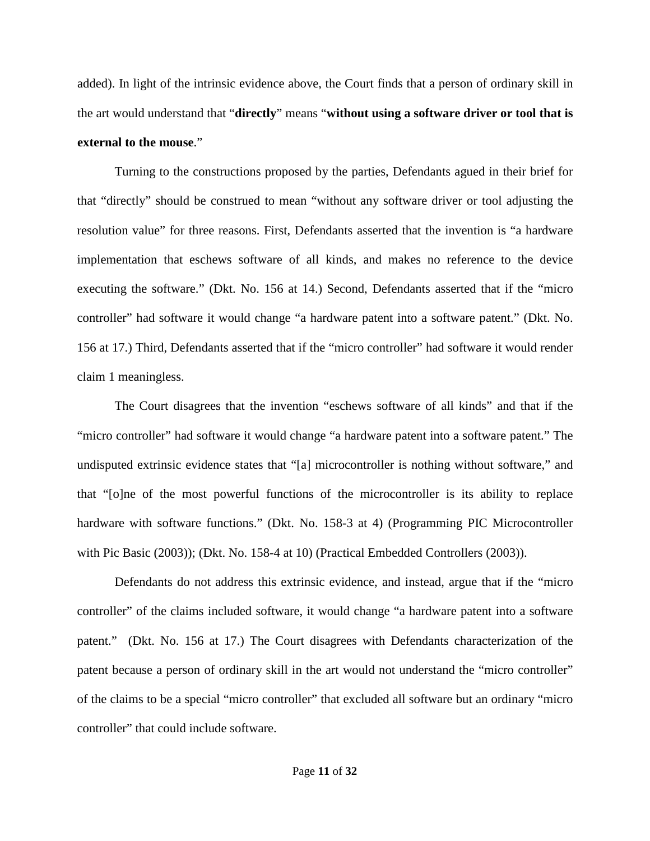added). In light of the intrinsic evidence above, the Court finds that a person of ordinary skill in the art would understand that "**directly**" means "**without using a software driver or tool that is external to the mouse**."

Turning to the constructions proposed by the parties, Defendants agued in their brief for that "directly" should be construed to mean "without any software driver or tool adjusting the resolution value" for three reasons. First, Defendants asserted that the invention is "a hardware implementation that eschews software of all kinds, and makes no reference to the device executing the software." (Dkt. No. 156 at 14.) Second, Defendants asserted that if the "micro controller" had software it would change "a hardware patent into a software patent." (Dkt. No. 156 at 17.) Third, Defendants asserted that if the "micro controller" had software it would render claim 1 meaningless.

The Court disagrees that the invention "eschews software of all kinds" and that if the "micro controller" had software it would change "a hardware patent into a software patent." The undisputed extrinsic evidence states that "[a] microcontroller is nothing without software," and that "[o]ne of the most powerful functions of the microcontroller is its ability to replace hardware with software functions." (Dkt. No. 158-3 at 4) (Programming PIC Microcontroller with Pic Basic (2003)); (Dkt. No. 158-4 at 10) (Practical Embedded Controllers (2003)).

Defendants do not address this extrinsic evidence, and instead, argue that if the "micro controller" of the claims included software, it would change "a hardware patent into a software patent." (Dkt. No. 156 at 17.) The Court disagrees with Defendants characterization of the patent because a person of ordinary skill in the art would not understand the "micro controller" of the claims to be a special "micro controller" that excluded all software but an ordinary "micro controller" that could include software.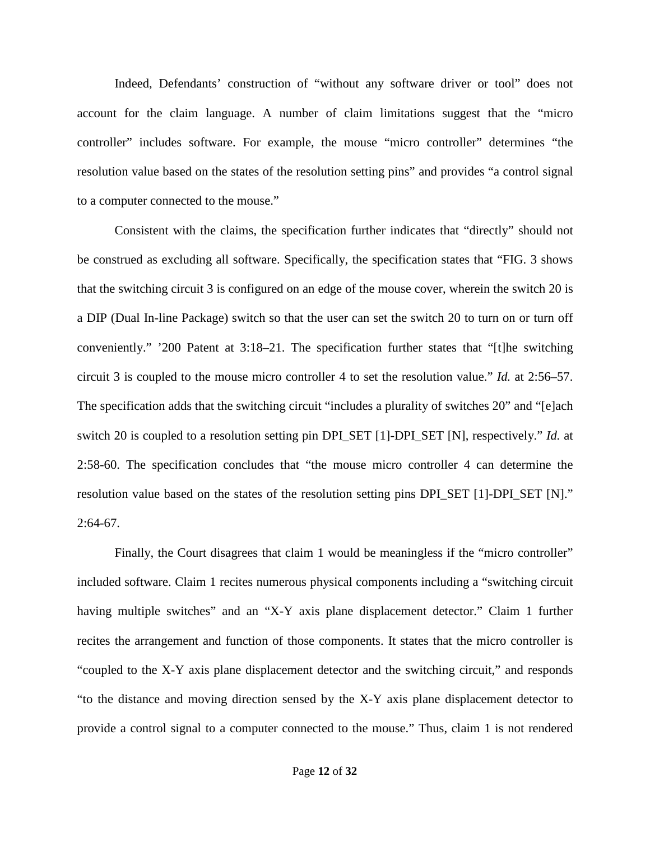Indeed, Defendants' construction of "without any software driver or tool" does not account for the claim language. A number of claim limitations suggest that the "micro controller" includes software. For example, the mouse "micro controller" determines "the resolution value based on the states of the resolution setting pins" and provides "a control signal to a computer connected to the mouse."

Consistent with the claims, the specification further indicates that "directly" should not be construed as excluding all software. Specifically, the specification states that "FIG. 3 shows that the switching circuit 3 is configured on an edge of the mouse cover, wherein the switch 20 is a DIP (Dual In-line Package) switch so that the user can set the switch 20 to turn on or turn off conveniently." '200 Patent at 3:18–21. The specification further states that "[t]he switching circuit 3 is coupled to the mouse micro controller 4 to set the resolution value." *Id.* at 2:56–57. The specification adds that the switching circuit "includes a plurality of switches 20" and "[e]ach switch 20 is coupled to a resolution setting pin DPI\_SET [1]-DPI\_SET [N], respectively." *Id.* at 2:58-60. The specification concludes that "the mouse micro controller 4 can determine the resolution value based on the states of the resolution setting pins DPI\_SET [1]-DPI\_SET [N]."  $2:64-67$ .

Finally, the Court disagrees that claim 1 would be meaningless if the "micro controller" included software. Claim 1 recites numerous physical components including a "switching circuit having multiple switches" and an "X-Y axis plane displacement detector." Claim 1 further recites the arrangement and function of those components. It states that the micro controller is "coupled to the X-Y axis plane displacement detector and the switching circuit," and responds "to the distance and moving direction sensed by the X-Y axis plane displacement detector to provide a control signal to a computer connected to the mouse." Thus, claim 1 is not rendered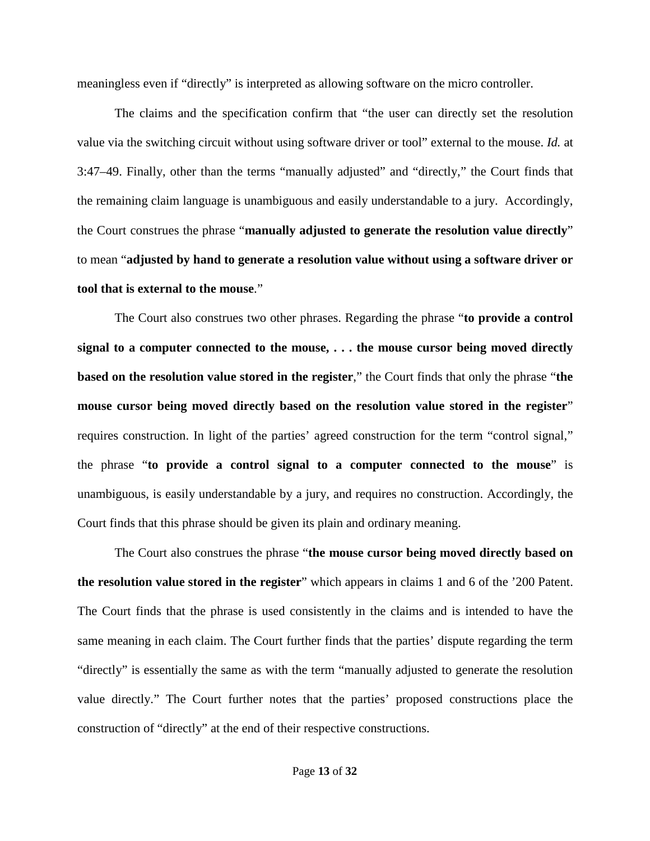meaningless even if "directly" is interpreted as allowing software on the micro controller.

The claims and the specification confirm that "the user can directly set the resolution value via the switching circuit without using software driver or tool" external to the mouse. *Id.* at 3:47–49. Finally, other than the terms "manually adjusted" and "directly," the Court finds that the remaining claim language is unambiguous and easily understandable to a jury. Accordingly, the Court construes the phrase "**manually adjusted to generate the resolution value directly**" to mean "**adjusted by hand to generate a resolution value without using a software driver or tool that is external to the mouse**."

The Court also construes two other phrases. Regarding the phrase "**to provide a control signal to a computer connected to the mouse, . . . the mouse cursor being moved directly based on the resolution value stored in the register**," the Court finds that only the phrase "**the mouse cursor being moved directly based on the resolution value stored in the register**" requires construction. In light of the parties' agreed construction for the term "control signal," the phrase "**to provide a control signal to a computer connected to the mouse**" is unambiguous, is easily understandable by a jury, and requires no construction. Accordingly, the Court finds that this phrase should be given its plain and ordinary meaning.

The Court also construes the phrase "**the mouse cursor being moved directly based on the resolution value stored in the register**" which appears in claims 1 and 6 of the '200 Patent. The Court finds that the phrase is used consistently in the claims and is intended to have the same meaning in each claim. The Court further finds that the parties' dispute regarding the term "directly" is essentially the same as with the term "manually adjusted to generate the resolution value directly." The Court further notes that the parties' proposed constructions place the construction of "directly" at the end of their respective constructions.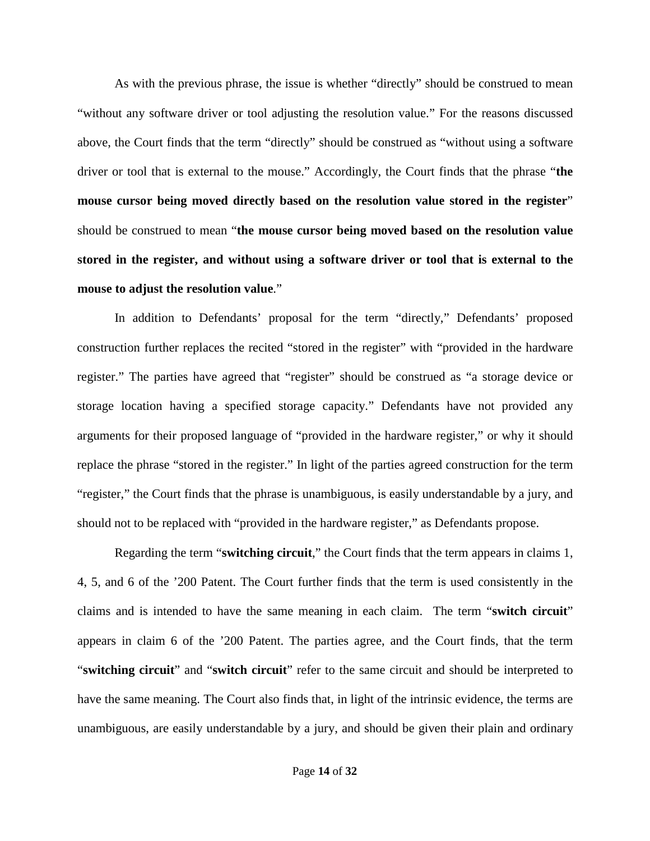As with the previous phrase, the issue is whether "directly" should be construed to mean "without any software driver or tool adjusting the resolution value." For the reasons discussed above, the Court finds that the term "directly" should be construed as "without using a software driver or tool that is external to the mouse." Accordingly, the Court finds that the phrase "**the mouse cursor being moved directly based on the resolution value stored in the register**" should be construed to mean "**the mouse cursor being moved based on the resolution value stored in the register, and without using a software driver or tool that is external to the mouse to adjust the resolution value**."

In addition to Defendants' proposal for the term "directly," Defendants' proposed construction further replaces the recited "stored in the register" with "provided in the hardware register." The parties have agreed that "register" should be construed as "a storage device or storage location having a specified storage capacity." Defendants have not provided any arguments for their proposed language of "provided in the hardware register," or why it should replace the phrase "stored in the register." In light of the parties agreed construction for the term "register," the Court finds that the phrase is unambiguous, is easily understandable by a jury, and should not to be replaced with "provided in the hardware register," as Defendants propose.

Regarding the term "**switching circuit**," the Court finds that the term appears in claims 1, 4, 5, and 6 of the '200 Patent. The Court further finds that the term is used consistently in the claims and is intended to have the same meaning in each claim. The term "**switch circuit**" appears in claim 6 of the '200 Patent. The parties agree, and the Court finds, that the term "**switching circuit**" and "**switch circuit**" refer to the same circuit and should be interpreted to have the same meaning. The Court also finds that, in light of the intrinsic evidence, the terms are unambiguous, are easily understandable by a jury, and should be given their plain and ordinary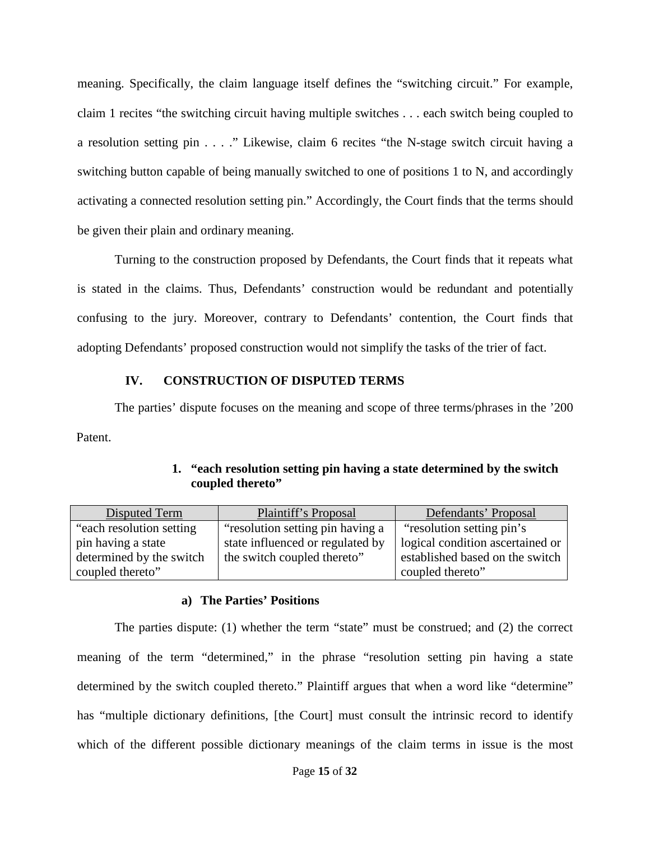meaning. Specifically, the claim language itself defines the "switching circuit." For example, claim 1 recites "the switching circuit having multiple switches . . . each switch being coupled to a resolution setting pin . . . ." Likewise, claim 6 recites "the N-stage switch circuit having a switching button capable of being manually switched to one of positions 1 to N, and accordingly activating a connected resolution setting pin." Accordingly, the Court finds that the terms should be given their plain and ordinary meaning.

Turning to the construction proposed by Defendants, the Court finds that it repeats what is stated in the claims. Thus, Defendants' construction would be redundant and potentially confusing to the jury. Moreover, contrary to Defendants' contention, the Court finds that adopting Defendants' proposed construction would not simplify the tasks of the trier of fact.

# **IV. CONSTRUCTION OF DISPUTED TERMS**

<span id="page-14-0"></span>The parties' dispute focuses on the meaning and scope of three terms/phrases in the '200 Patent.

<span id="page-14-1"></span>

| Disputed Term             | Plaintiff's Proposal             | Defendants' Proposal             |
|---------------------------|----------------------------------|----------------------------------|
| "each resolution setting" | "resolution setting pin having a | "resolution setting pin's        |
| pin having a state        | state influenced or regulated by | logical condition ascertained or |
| determined by the switch  | the switch coupled thereto"      | established based on the switch  |
| coupled thereto"          |                                  | coupled thereto"                 |

# **1. "each resolution setting pin having a state determined by the switch coupled thereto"**

# **a) The Parties' Positions**

The parties dispute: (1) whether the term "state" must be construed; and (2) the correct meaning of the term "determined," in the phrase "resolution setting pin having a state determined by the switch coupled thereto." Plaintiff argues that when a word like "determine" has "multiple dictionary definitions, [the Court] must consult the intrinsic record to identify which of the different possible dictionary meanings of the claim terms in issue is the most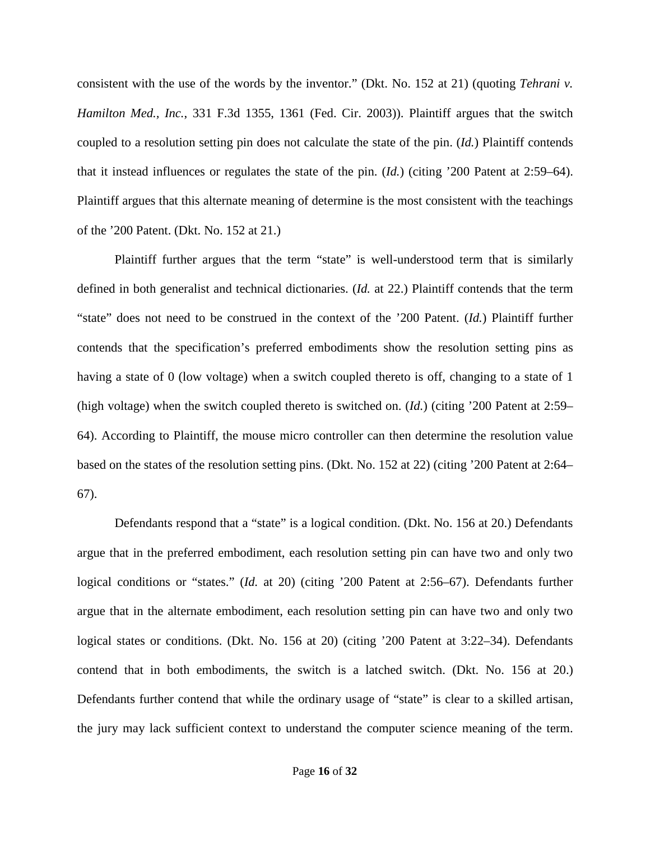consistent with the use of the words by the inventor." (Dkt. No. 152 at 21) (quoting *Tehrani v. Hamilton Med., Inc.*, 331 F.3d 1355, 1361 (Fed. Cir. 2003)). Plaintiff argues that the switch coupled to a resolution setting pin does not calculate the state of the pin. (*Id.*) Plaintiff contends that it instead influences or regulates the state of the pin. (*Id.*) (citing '200 Patent at 2:59–64). Plaintiff argues that this alternate meaning of determine is the most consistent with the teachings of the '200 Patent. (Dkt. No. 152 at 21.)

Plaintiff further argues that the term "state" is well-understood term that is similarly defined in both generalist and technical dictionaries. (*Id.* at 22.) Plaintiff contends that the term "state" does not need to be construed in the context of the '200 Patent. (*Id.*) Plaintiff further contends that the specification's preferred embodiments show the resolution setting pins as having a state of 0 (low voltage) when a switch coupled thereto is off, changing to a state of 1 (high voltage) when the switch coupled thereto is switched on. (*Id.*) (citing '200 Patent at 2:59– 64). According to Plaintiff, the mouse micro controller can then determine the resolution value based on the states of the resolution setting pins. (Dkt. No. 152 at 22) (citing '200 Patent at 2:64– 67).

Defendants respond that a "state" is a logical condition. (Dkt. No. 156 at 20.) Defendants argue that in the preferred embodiment, each resolution setting pin can have two and only two logical conditions or "states." (*Id.* at 20) (citing '200 Patent at 2:56–67). Defendants further argue that in the alternate embodiment, each resolution setting pin can have two and only two logical states or conditions. (Dkt. No. 156 at 20) (citing '200 Patent at 3:22–34). Defendants contend that in both embodiments, the switch is a latched switch. (Dkt. No. 156 at 20.) Defendants further contend that while the ordinary usage of "state" is clear to a skilled artisan, the jury may lack sufficient context to understand the computer science meaning of the term.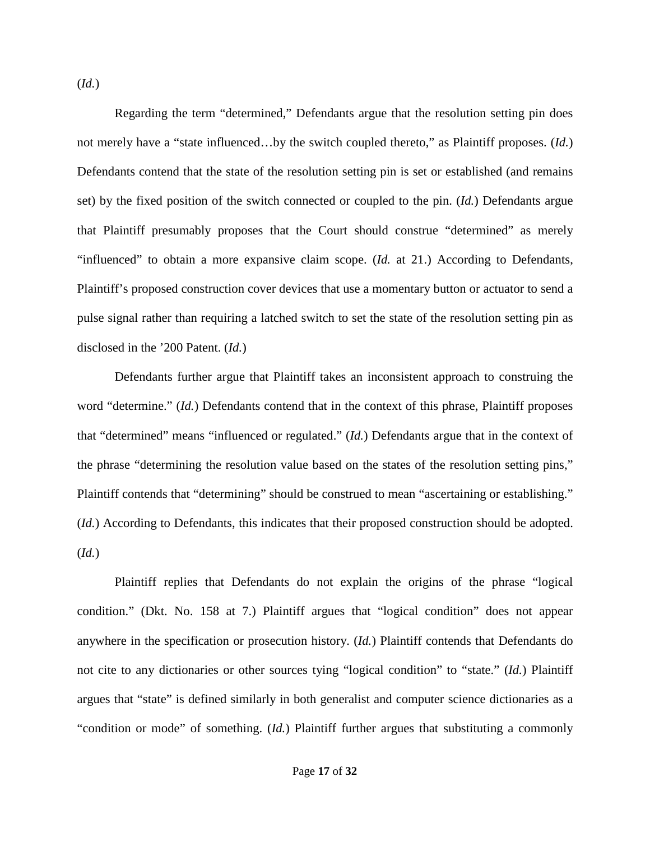(*Id.*)

Regarding the term "determined," Defendants argue that the resolution setting pin does not merely have a "state influenced…by the switch coupled thereto," as Plaintiff proposes. (*Id.*) Defendants contend that the state of the resolution setting pin is set or established (and remains set) by the fixed position of the switch connected or coupled to the pin. (*Id.*) Defendants argue that Plaintiff presumably proposes that the Court should construe "determined" as merely "influenced" to obtain a more expansive claim scope. (*Id.* at 21.) According to Defendants, Plaintiff's proposed construction cover devices that use a momentary button or actuator to send a pulse signal rather than requiring a latched switch to set the state of the resolution setting pin as disclosed in the '200 Patent. (*Id.*)

Defendants further argue that Plaintiff takes an inconsistent approach to construing the word "determine." (*Id.*) Defendants contend that in the context of this phrase, Plaintiff proposes that "determined" means "influenced or regulated." (*Id.*) Defendants argue that in the context of the phrase "determining the resolution value based on the states of the resolution setting pins," Plaintiff contends that "determining" should be construed to mean "ascertaining or establishing." (*Id.*) According to Defendants, this indicates that their proposed construction should be adopted. (*Id.*)

Plaintiff replies that Defendants do not explain the origins of the phrase "logical condition." (Dkt. No. 158 at 7.) Plaintiff argues that "logical condition" does not appear anywhere in the specification or prosecution history. (*Id.*) Plaintiff contends that Defendants do not cite to any dictionaries or other sources tying "logical condition" to "state." (*Id.*) Plaintiff argues that "state" is defined similarly in both generalist and computer science dictionaries as a "condition or mode" of something. (*Id.*) Plaintiff further argues that substituting a commonly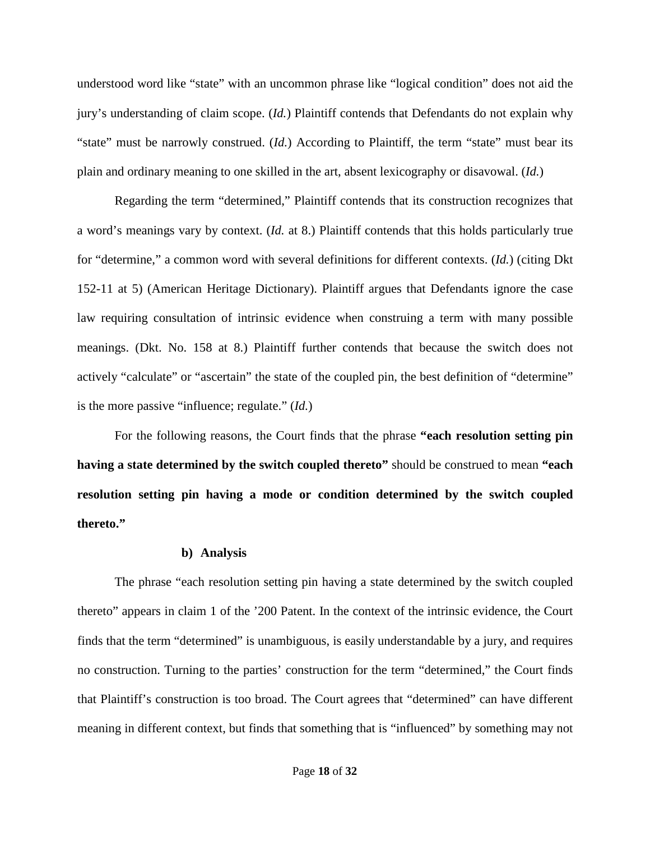understood word like "state" with an uncommon phrase like "logical condition" does not aid the jury's understanding of claim scope. (*Id.*) Plaintiff contends that Defendants do not explain why "state" must be narrowly construed. (*Id.*) According to Plaintiff, the term "state" must bear its plain and ordinary meaning to one skilled in the art, absent lexicography or disavowal. (*Id.*)

Regarding the term "determined," Plaintiff contends that its construction recognizes that a word's meanings vary by context. (*Id.* at 8.) Plaintiff contends that this holds particularly true for "determine," a common word with several definitions for different contexts. (*Id.*) (citing Dkt 152-11 at 5) (American Heritage Dictionary). Plaintiff argues that Defendants ignore the case law requiring consultation of intrinsic evidence when construing a term with many possible meanings. (Dkt. No. 158 at 8.) Plaintiff further contends that because the switch does not actively "calculate" or "ascertain" the state of the coupled pin, the best definition of "determine" is the more passive "influence; regulate." (*Id.*)

For the following reasons, the Court finds that the phrase **"each resolution setting pin having a state determined by the switch coupled thereto"** should be construed to mean **"each resolution setting pin having a mode or condition determined by the switch coupled thereto."**

#### **b) Analysis**

The phrase "each resolution setting pin having a state determined by the switch coupled thereto" appears in claim 1 of the '200 Patent. In the context of the intrinsic evidence, the Court finds that the term "determined" is unambiguous, is easily understandable by a jury, and requires no construction. Turning to the parties' construction for the term "determined," the Court finds that Plaintiff's construction is too broad. The Court agrees that "determined" can have different meaning in different context, but finds that something that is "influenced" by something may not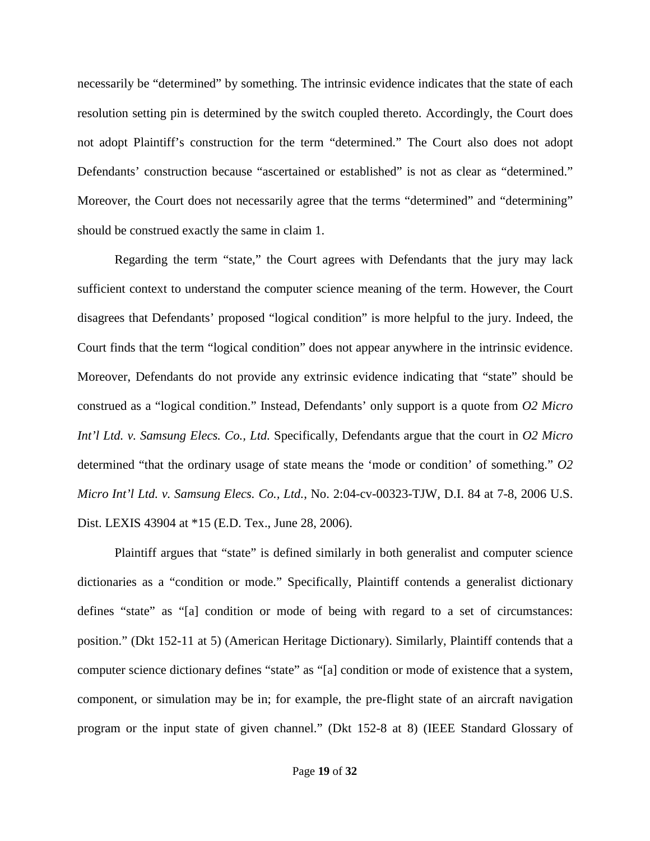necessarily be "determined" by something. The intrinsic evidence indicates that the state of each resolution setting pin is determined by the switch coupled thereto. Accordingly, the Court does not adopt Plaintiff's construction for the term "determined." The Court also does not adopt Defendants' construction because "ascertained or established" is not as clear as "determined." Moreover, the Court does not necessarily agree that the terms "determined" and "determining" should be construed exactly the same in claim 1.

Regarding the term "state," the Court agrees with Defendants that the jury may lack sufficient context to understand the computer science meaning of the term. However, the Court disagrees that Defendants' proposed "logical condition" is more helpful to the jury. Indeed, the Court finds that the term "logical condition" does not appear anywhere in the intrinsic evidence. Moreover, Defendants do not provide any extrinsic evidence indicating that "state" should be construed as a "logical condition." Instead, Defendants' only support is a quote from *O2 Micro Int'l Ltd. v. Samsung Elecs. Co., Ltd.* Specifically, Defendants argue that the court in *O2 Micro*  determined "that the ordinary usage of state means the 'mode or condition' of something." *O2 Micro Int'l Ltd. v. Samsung Elecs. Co., Ltd.*, No. 2:04-cv-00323-TJW, D.I. 84 at 7-8, 2006 U.S. Dist. LEXIS 43904 at \*15 (E.D. Tex., June 28, 2006).

Plaintiff argues that "state" is defined similarly in both generalist and computer science dictionaries as a "condition or mode." Specifically, Plaintiff contends a generalist dictionary defines "state" as "[a] condition or mode of being with regard to a set of circumstances: position." (Dkt 152-11 at 5) (American Heritage Dictionary). Similarly, Plaintiff contends that a computer science dictionary defines "state" as "[a] condition or mode of existence that a system, component, or simulation may be in; for example, the pre-flight state of an aircraft navigation program or the input state of given channel." (Dkt 152-8 at 8) (IEEE Standard Glossary of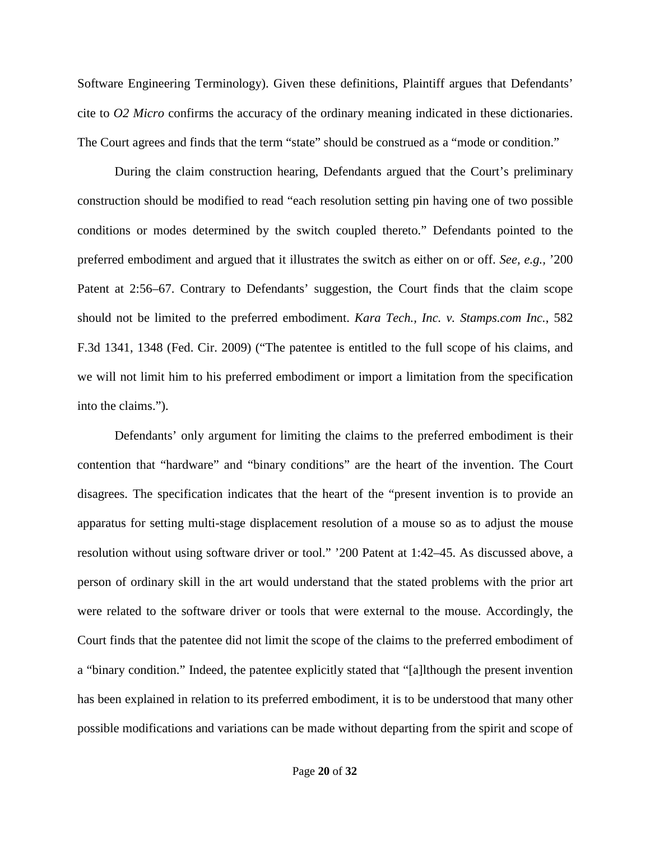Software Engineering Terminology). Given these definitions, Plaintiff argues that Defendants' cite to *O2 Micro* confirms the accuracy of the ordinary meaning indicated in these dictionaries. The Court agrees and finds that the term "state" should be construed as a "mode or condition."

During the claim construction hearing, Defendants argued that the Court's preliminary construction should be modified to read "each resolution setting pin having one of two possible conditions or modes determined by the switch coupled thereto." Defendants pointed to the preferred embodiment and argued that it illustrates the switch as either on or off. *See, e.g.,* '200 Patent at 2:56–67. Contrary to Defendants' suggestion, the Court finds that the claim scope should not be limited to the preferred embodiment. *Kara Tech., Inc. v. Stamps.com Inc.*, 582 F.3d 1341, 1348 (Fed. Cir. 2009) ("The patentee is entitled to the full scope of his claims, and we will not limit him to his preferred embodiment or import a limitation from the specification into the claims.").

Defendants' only argument for limiting the claims to the preferred embodiment is their contention that "hardware" and "binary conditions" are the heart of the invention. The Court disagrees. The specification indicates that the heart of the "present invention is to provide an apparatus for setting multi-stage displacement resolution of a mouse so as to adjust the mouse resolution without using software driver or tool." '200 Patent at 1:42–45. As discussed above, a person of ordinary skill in the art would understand that the stated problems with the prior art were related to the software driver or tools that were external to the mouse. Accordingly, the Court finds that the patentee did not limit the scope of the claims to the preferred embodiment of a "binary condition." Indeed, the patentee explicitly stated that "[a]lthough the present invention has been explained in relation to its preferred embodiment, it is to be understood that many other possible modifications and variations can be made without departing from the spirit and scope of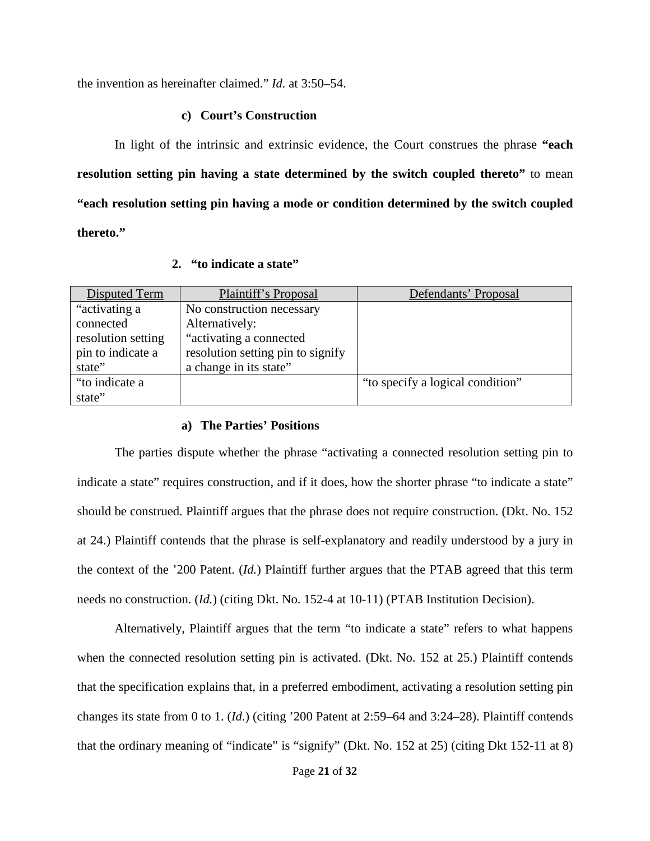the invention as hereinafter claimed." *Id.* at 3:50–54.

## **c) Court's Construction**

In light of the intrinsic and extrinsic evidence, the Court construes the phrase **"each resolution setting pin having a state determined by the switch coupled thereto"** to mean **"each resolution setting pin having a mode or condition determined by the switch coupled thereto."**

|  |  | 2. "to indicate a state" |  |  |
|--|--|--------------------------|--|--|
|--|--|--------------------------|--|--|

<span id="page-20-0"></span>

| Disputed Term      | Plaintiff's Proposal              | Defendants' Proposal             |
|--------------------|-----------------------------------|----------------------------------|
| "activating a      | No construction necessary         |                                  |
| connected          | Alternatively:                    |                                  |
| resolution setting | "activating a connected"          |                                  |
| pin to indicate a  | resolution setting pin to signify |                                  |
| state"             | a change in its state"            |                                  |
| "to indicate a     |                                   | "to specify a logical condition" |
| state"             |                                   |                                  |

## **a) The Parties' Positions**

The parties dispute whether the phrase "activating a connected resolution setting pin to indicate a state" requires construction, and if it does, how the shorter phrase "to indicate a state" should be construed. Plaintiff argues that the phrase does not require construction. (Dkt. No. 152 at 24.) Plaintiff contends that the phrase is self-explanatory and readily understood by a jury in the context of the '200 Patent. (*Id.*) Plaintiff further argues that the PTAB agreed that this term needs no construction. (*Id.*) (citing Dkt. No. 152-4 at 10-11) (PTAB Institution Decision).

Alternatively, Plaintiff argues that the term "to indicate a state" refers to what happens when the connected resolution setting pin is activated. (Dkt. No. 152 at 25.) Plaintiff contends that the specification explains that, in a preferred embodiment, activating a resolution setting pin changes its state from 0 to 1. (*Id.*) (citing '200 Patent at 2:59–64 and 3:24–28). Plaintiff contends that the ordinary meaning of "indicate" is "signify" (Dkt. No. 152 at 25) (citing Dkt 152-11 at 8)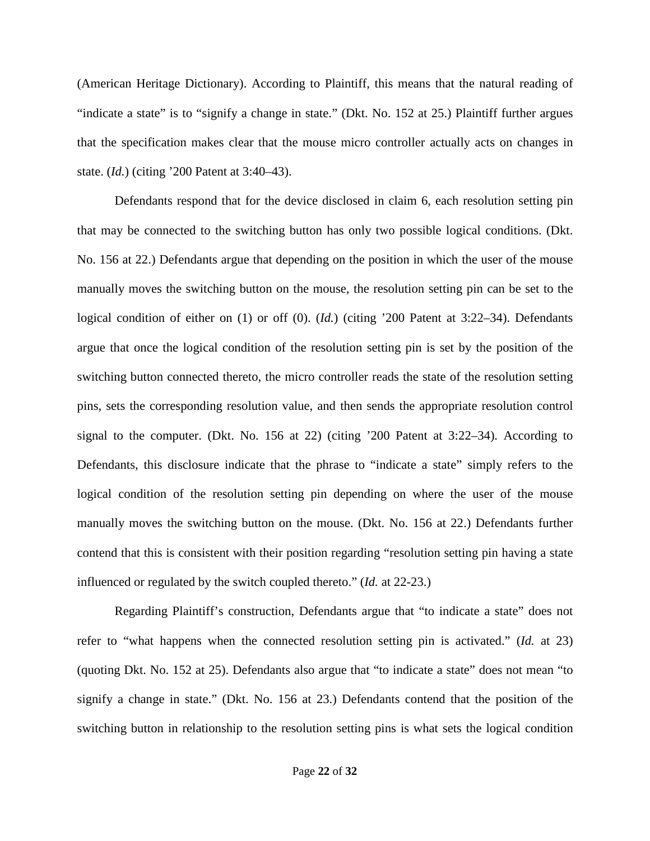(American Heritage Dictionary). According to Plaintiff, this means that the natural reading of "indicate a state" is to "signify a change in state." (Dkt. No. 152 at 25.) Plaintiff further argues that the specification makes clear that the mouse micro controller actually acts on changes in state. (*Id.*) (citing '200 Patent at 3:40–43).

Defendants respond that for the device disclosed in claim 6, each resolution setting pin that may be connected to the switching button has only two possible logical conditions. (Dkt. No. 156 at 22.) Defendants argue that depending on the position in which the user of the mouse manually moves the switching button on the mouse, the resolution setting pin can be set to the logical condition of either on (1) or off (0). (*Id.*) (citing '200 Patent at 3:22–34). Defendants argue that once the logical condition of the resolution setting pin is set by the position of the switching button connected thereto, the micro controller reads the state of the resolution setting pins, sets the corresponding resolution value, and then sends the appropriate resolution control signal to the computer. (Dkt. No. 156 at 22) (citing '200 Patent at 3:22–34). According to Defendants, this disclosure indicate that the phrase to "indicate a state" simply refers to the logical condition of the resolution setting pin depending on where the user of the mouse manually moves the switching button on the mouse. (Dkt. No. 156 at 22.) Defendants further contend that this is consistent with their position regarding "resolution setting pin having a state influenced or regulated by the switch coupled thereto." (*Id.* at 22-23.)

Regarding Plaintiff's construction, Defendants argue that "to indicate a state" does not refer to "what happens when the connected resolution setting pin is activated." (*Id.* at 23) (quoting Dkt. No. 152 at 25). Defendants also argue that "to indicate a state" does not mean "to signify a change in state." (Dkt. No. 156 at 23.) Defendants contend that the position of the switching button in relationship to the resolution setting pins is what sets the logical condition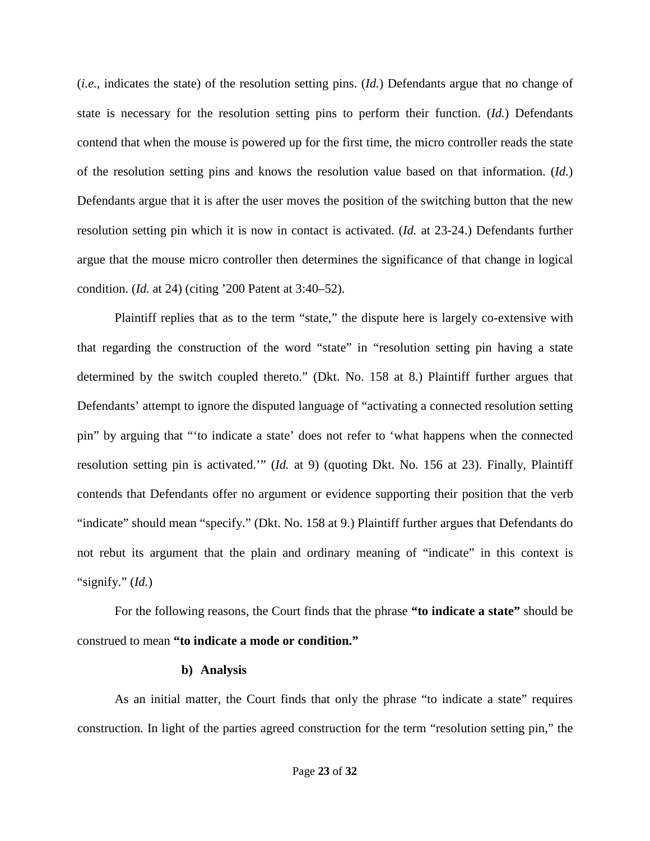(*i.e.*, indicates the state) of the resolution setting pins. (*Id.*) Defendants argue that no change of state is necessary for the resolution setting pins to perform their function. (*Id.*) Defendants contend that when the mouse is powered up for the first time, the micro controller reads the state of the resolution setting pins and knows the resolution value based on that information. (*Id.*) Defendants argue that it is after the user moves the position of the switching button that the new resolution setting pin which it is now in contact is activated. (*Id.* at 23-24.) Defendants further argue that the mouse micro controller then determines the significance of that change in logical condition. (*Id.* at 24) (citing '200 Patent at 3:40–52).

Plaintiff replies that as to the term "state," the dispute here is largely co-extensive with that regarding the construction of the word "state" in "resolution setting pin having a state determined by the switch coupled thereto." (Dkt. No. 158 at 8.) Plaintiff further argues that Defendants' attempt to ignore the disputed language of "activating a connected resolution setting pin" by arguing that "'to indicate a state' does not refer to 'what happens when the connected resolution setting pin is activated.'" (*Id.* at 9) (quoting Dkt. No. 156 at 23). Finally, Plaintiff contends that Defendants offer no argument or evidence supporting their position that the verb "indicate" should mean "specify." (Dkt. No. 158 at 9.) Plaintiff further argues that Defendants do not rebut its argument that the plain and ordinary meaning of "indicate" in this context is "signify." (*Id.*)

For the following reasons, the Court finds that the phrase **"to indicate a state"** should be construed to mean **"to indicate a mode or condition."** 

#### **b) Analysis**

As an initial matter, the Court finds that only the phrase "to indicate a state" requires construction. In light of the parties agreed construction for the term "resolution setting pin," the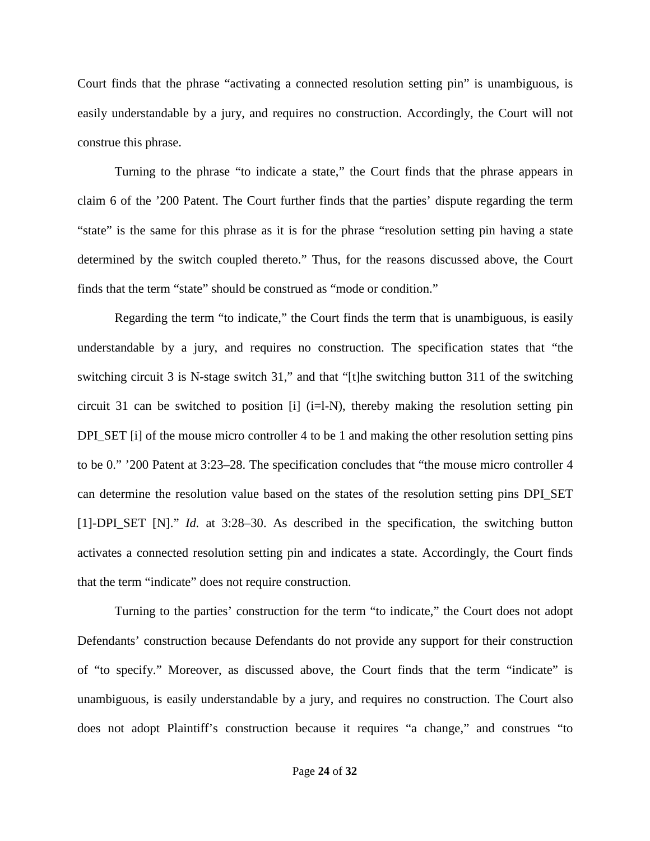Court finds that the phrase "activating a connected resolution setting pin" is unambiguous, is easily understandable by a jury, and requires no construction. Accordingly, the Court will not construe this phrase.

Turning to the phrase "to indicate a state," the Court finds that the phrase appears in claim 6 of the '200 Patent. The Court further finds that the parties' dispute regarding the term "state" is the same for this phrase as it is for the phrase "resolution setting pin having a state determined by the switch coupled thereto." Thus, for the reasons discussed above, the Court finds that the term "state" should be construed as "mode or condition."

Regarding the term "to indicate," the Court finds the term that is unambiguous, is easily understandable by a jury, and requires no construction. The specification states that "the switching circuit 3 is N-stage switch 31," and that "[t]he switching button 311 of the switching circuit 31 can be switched to position [i]  $(i=1-N)$ , thereby making the resolution setting pin DPI\_SET [i] of the mouse micro controller 4 to be 1 and making the other resolution setting pins to be 0." '200 Patent at 3:23–28. The specification concludes that "the mouse micro controller 4 can determine the resolution value based on the states of the resolution setting pins DPI\_SET [1]-DPI\_SET [N]." *Id.* at 3:28–30. As described in the specification, the switching button activates a connected resolution setting pin and indicates a state. Accordingly, the Court finds that the term "indicate" does not require construction.

Turning to the parties' construction for the term "to indicate," the Court does not adopt Defendants' construction because Defendants do not provide any support for their construction of "to specify." Moreover, as discussed above, the Court finds that the term "indicate" is unambiguous, is easily understandable by a jury, and requires no construction. The Court also does not adopt Plaintiff's construction because it requires "a change," and construes "to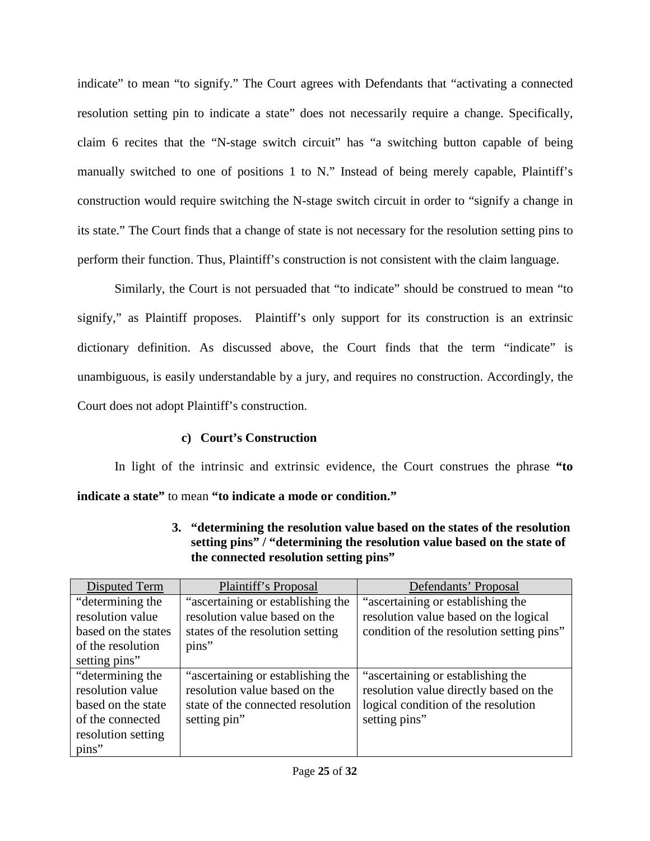indicate" to mean "to signify." The Court agrees with Defendants that "activating a connected resolution setting pin to indicate a state" does not necessarily require a change. Specifically, claim 6 recites that the "N-stage switch circuit" has "a switching button capable of being manually switched to one of positions 1 to N." Instead of being merely capable, Plaintiff's construction would require switching the N-stage switch circuit in order to "signify a change in its state." The Court finds that a change of state is not necessary for the resolution setting pins to perform their function. Thus, Plaintiff's construction is not consistent with the claim language.

Similarly, the Court is not persuaded that "to indicate" should be construed to mean "to signify," as Plaintiff proposes. Plaintiff's only support for its construction is an extrinsic dictionary definition. As discussed above, the Court finds that the term "indicate" is unambiguous, is easily understandable by a jury, and requires no construction. Accordingly, the Court does not adopt Plaintiff's construction.

# **c) Court's Construction**

In light of the intrinsic and extrinsic evidence, the Court construes the phrase **"to indicate a state"** to mean **"to indicate a mode or condition."** 

<span id="page-24-0"></span>

| Disputed Term       | Plaintiff's Proposal              | Defendants' Proposal                      |
|---------------------|-----------------------------------|-------------------------------------------|
| "determining the    | "ascertaining or establishing the | "ascertaining or establishing the         |
| resolution value    | resolution value based on the     | resolution value based on the logical     |
| based on the states | states of the resolution setting  | condition of the resolution setting pins" |
| of the resolution   | pins"                             |                                           |
| setting pins"       |                                   |                                           |
| "determining the    | "ascertaining or establishing the | "ascertaining or establishing the         |
| resolution value    | resolution value based on the     | resolution value directly based on the    |
| based on the state  | state of the connected resolution | logical condition of the resolution       |
| of the connected    | setting pin"                      | setting pins"                             |
| resolution setting  |                                   |                                           |
| pins"               |                                   |                                           |

**3. "determining the resolution value based on the states of the resolution setting pins" / "determining the resolution value based on the state of the connected resolution setting pins"**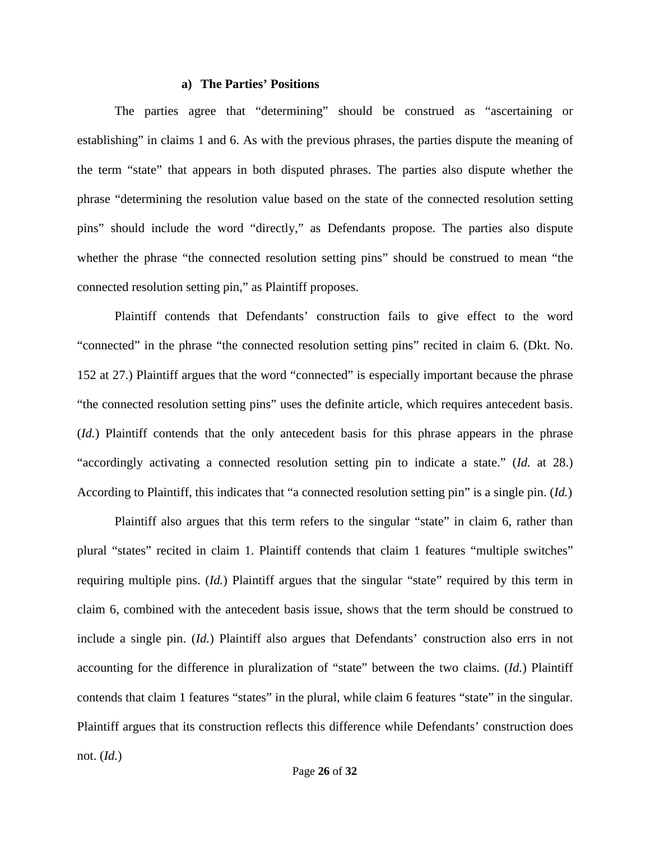## **a) The Parties' Positions**

The parties agree that "determining" should be construed as "ascertaining or establishing" in claims 1 and 6. As with the previous phrases, the parties dispute the meaning of the term "state" that appears in both disputed phrases. The parties also dispute whether the phrase "determining the resolution value based on the state of the connected resolution setting pins" should include the word "directly," as Defendants propose. The parties also dispute whether the phrase "the connected resolution setting pins" should be construed to mean "the connected resolution setting pin," as Plaintiff proposes.

Plaintiff contends that Defendants' construction fails to give effect to the word "connected" in the phrase "the connected resolution setting pins" recited in claim 6. (Dkt. No. 152 at 27.) Plaintiff argues that the word "connected" is especially important because the phrase "the connected resolution setting pins" uses the definite article, which requires antecedent basis. (*Id.*) Plaintiff contends that the only antecedent basis for this phrase appears in the phrase "accordingly activating a connected resolution setting pin to indicate a state." (*Id.* at 28.) According to Plaintiff, this indicates that "a connected resolution setting pin" is a single pin. (*Id.*)

Plaintiff also argues that this term refers to the singular "state" in claim 6, rather than plural "states" recited in claim 1. Plaintiff contends that claim 1 features "multiple switches" requiring multiple pins. (*Id.*) Plaintiff argues that the singular "state" required by this term in claim 6, combined with the antecedent basis issue, shows that the term should be construed to include a single pin. (*Id.*) Plaintiff also argues that Defendants' construction also errs in not accounting for the difference in pluralization of "state" between the two claims. (*Id.*) Plaintiff contends that claim 1 features "states" in the plural, while claim 6 features "state" in the singular. Plaintiff argues that its construction reflects this difference while Defendants' construction does not. (*Id.*)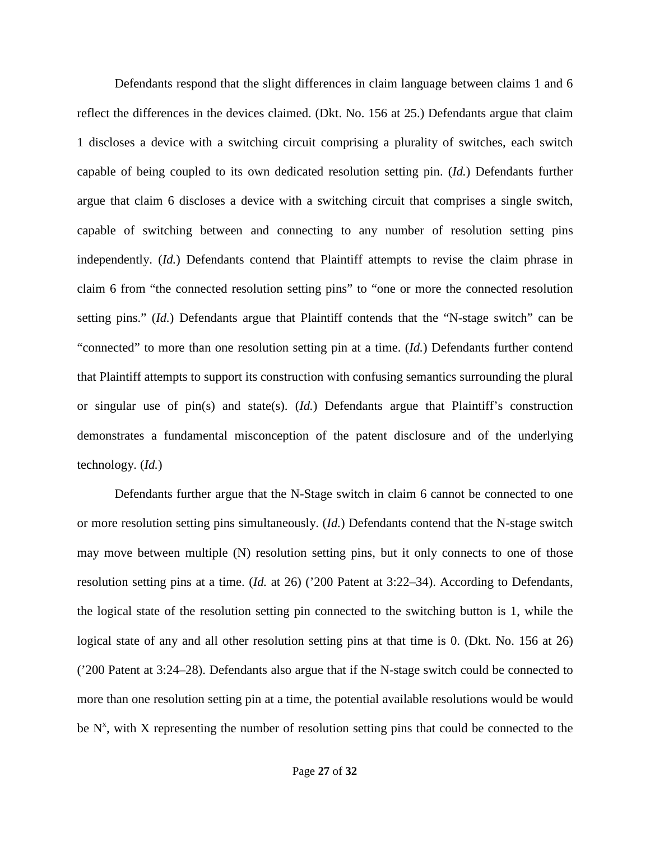Defendants respond that the slight differences in claim language between claims 1 and 6 reflect the differences in the devices claimed. (Dkt. No. 156 at 25.) Defendants argue that claim 1 discloses a device with a switching circuit comprising a plurality of switches, each switch capable of being coupled to its own dedicated resolution setting pin. (*Id.*) Defendants further argue that claim 6 discloses a device with a switching circuit that comprises a single switch, capable of switching between and connecting to any number of resolution setting pins independently. (*Id.*) Defendants contend that Plaintiff attempts to revise the claim phrase in claim 6 from "the connected resolution setting pins" to "one or more the connected resolution setting pins." (*Id.*) Defendants argue that Plaintiff contends that the "N-stage switch" can be "connected" to more than one resolution setting pin at a time. (*Id.*) Defendants further contend that Plaintiff attempts to support its construction with confusing semantics surrounding the plural or singular use of pin(s) and state(s). (*Id.*) Defendants argue that Plaintiff's construction demonstrates a fundamental misconception of the patent disclosure and of the underlying technology. (*Id.*)

Defendants further argue that the N-Stage switch in claim 6 cannot be connected to one or more resolution setting pins simultaneously. (*Id.*) Defendants contend that the N-stage switch may move between multiple (N) resolution setting pins, but it only connects to one of those resolution setting pins at a time. (*Id.* at 26) ('200 Patent at 3:22–34). According to Defendants, the logical state of the resolution setting pin connected to the switching button is 1, while the logical state of any and all other resolution setting pins at that time is 0. (Dkt. No. 156 at 26) ('200 Patent at 3:24–28). Defendants also argue that if the N-stage switch could be connected to more than one resolution setting pin at a time, the potential available resolutions would be would be  $N^x$ , with X representing the number of resolution setting pins that could be connected to the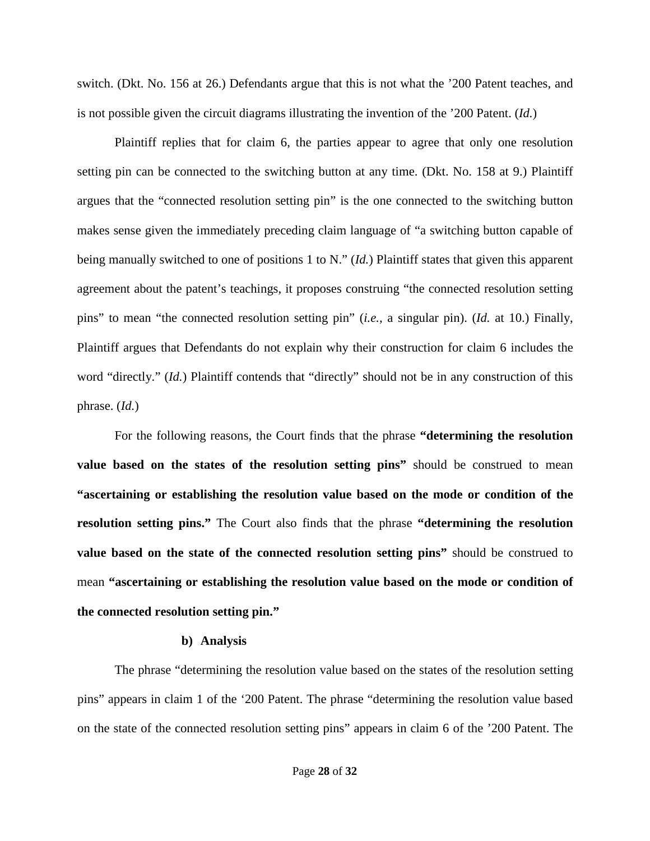switch. (Dkt. No. 156 at 26.) Defendants argue that this is not what the '200 Patent teaches, and is not possible given the circuit diagrams illustrating the invention of the '200 Patent. (*Id.*)

Plaintiff replies that for claim 6, the parties appear to agree that only one resolution setting pin can be connected to the switching button at any time. (Dkt. No. 158 at 9.) Plaintiff argues that the "connected resolution setting pin" is the one connected to the switching button makes sense given the immediately preceding claim language of "a switching button capable of being manually switched to one of positions 1 to N." (*Id.*) Plaintiff states that given this apparent agreement about the patent's teachings, it proposes construing "the connected resolution setting pins" to mean "the connected resolution setting pin" (*i.e.*, a singular pin). (*Id.* at 10.) Finally, Plaintiff argues that Defendants do not explain why their construction for claim 6 includes the word "directly." (*Id.*) Plaintiff contends that "directly" should not be in any construction of this phrase. (*Id.*)

For the following reasons, the Court finds that the phrase **"determining the resolution value based on the states of the resolution setting pins"** should be construed to mean **"ascertaining or establishing the resolution value based on the mode or condition of the resolution setting pins."** The Court also finds that the phrase **"determining the resolution value based on the state of the connected resolution setting pins"** should be construed to mean **"ascertaining or establishing the resolution value based on the mode or condition of the connected resolution setting pin."**

#### **b) Analysis**

The phrase "determining the resolution value based on the states of the resolution setting pins" appears in claim 1 of the '200 Patent. The phrase "determining the resolution value based on the state of the connected resolution setting pins" appears in claim 6 of the '200 Patent. The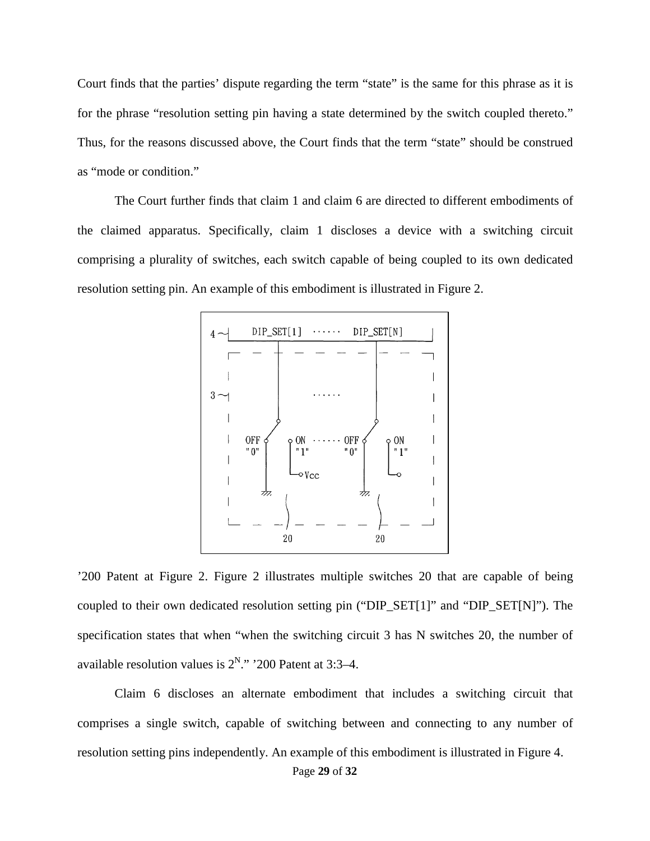Court finds that the parties' dispute regarding the term "state" is the same for this phrase as it is for the phrase "resolution setting pin having a state determined by the switch coupled thereto." Thus, for the reasons discussed above, the Court finds that the term "state" should be construed as "mode or condition."

The Court further finds that claim 1 and claim 6 are directed to different embodiments of the claimed apparatus. Specifically, claim 1 discloses a device with a switching circuit comprising a plurality of switches, each switch capable of being coupled to its own dedicated resolution setting pin. An example of this embodiment is illustrated in Figure 2.



'200 Patent at Figure 2. Figure 2 illustrates multiple switches 20 that are capable of being coupled to their own dedicated resolution setting pin ("DIP\_SET[1]" and "DIP\_SET[N]"). The specification states that when "when the switching circuit 3 has N switches 20, the number of available resolution values is  $2^N$ ." '200 Patent at 3:3–4.

Claim 6 discloses an alternate embodiment that includes a switching circuit that comprises a single switch, capable of switching between and connecting to any number of resolution setting pins independently. An example of this embodiment is illustrated in Figure 4.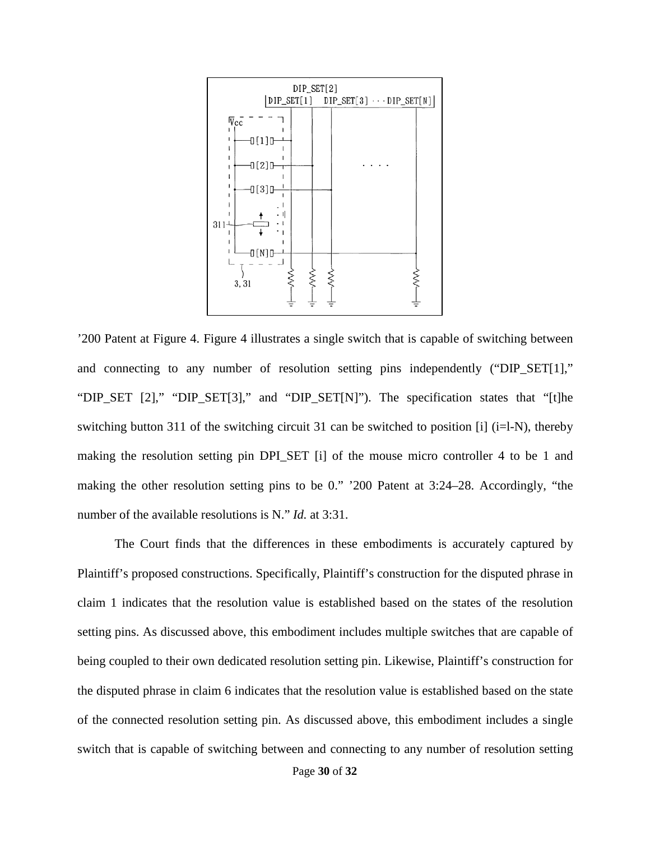

'200 Patent at Figure 4. Figure 4 illustrates a single switch that is capable of switching between and connecting to any number of resolution setting pins independently ("DIP\_SET[1]," "DIP\_SET [2]," "DIP\_SET[3]," and "DIP\_SET[N]"). The specification states that "[t]he switching button 311 of the switching circuit 31 can be switched to position [i] (i=l-N), thereby making the resolution setting pin DPI SET [i] of the mouse micro controller 4 to be 1 and making the other resolution setting pins to be 0." '200 Patent at 3:24–28. Accordingly, "the number of the available resolutions is N." *Id.* at 3:31.

The Court finds that the differences in these embodiments is accurately captured by Plaintiff's proposed constructions. Specifically, Plaintiff's construction for the disputed phrase in claim 1 indicates that the resolution value is established based on the states of the resolution setting pins. As discussed above, this embodiment includes multiple switches that are capable of being coupled to their own dedicated resolution setting pin. Likewise, Plaintiff's construction for the disputed phrase in claim 6 indicates that the resolution value is established based on the state of the connected resolution setting pin. As discussed above, this embodiment includes a single switch that is capable of switching between and connecting to any number of resolution setting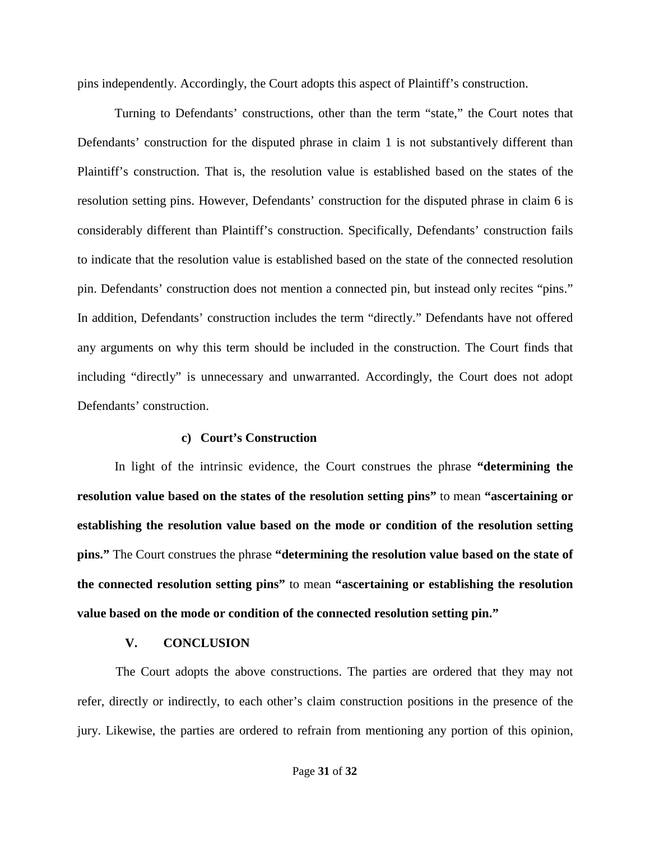pins independently. Accordingly, the Court adopts this aspect of Plaintiff's construction.

Turning to Defendants' constructions, other than the term "state," the Court notes that Defendants' construction for the disputed phrase in claim 1 is not substantively different than Plaintiff's construction. That is, the resolution value is established based on the states of the resolution setting pins. However, Defendants' construction for the disputed phrase in claim 6 is considerably different than Plaintiff's construction. Specifically, Defendants' construction fails to indicate that the resolution value is established based on the state of the connected resolution pin. Defendants' construction does not mention a connected pin, but instead only recites "pins." In addition, Defendants' construction includes the term "directly." Defendants have not offered any arguments on why this term should be included in the construction. The Court finds that including "directly" is unnecessary and unwarranted. Accordingly, the Court does not adopt Defendants' construction.

# **c) Court's Construction**

In light of the intrinsic evidence, the Court construes the phrase **"determining the resolution value based on the states of the resolution setting pins"** to mean **"ascertaining or establishing the resolution value based on the mode or condition of the resolution setting pins."** The Court construes the phrase **"determining the resolution value based on the state of the connected resolution setting pins"** to mean **"ascertaining or establishing the resolution value based on the mode or condition of the connected resolution setting pin."**

# **V. CONCLUSION**

<span id="page-30-0"></span>The Court adopts the above constructions. The parties are ordered that they may not refer, directly or indirectly, to each other's claim construction positions in the presence of the jury. Likewise, the parties are ordered to refrain from mentioning any portion of this opinion,